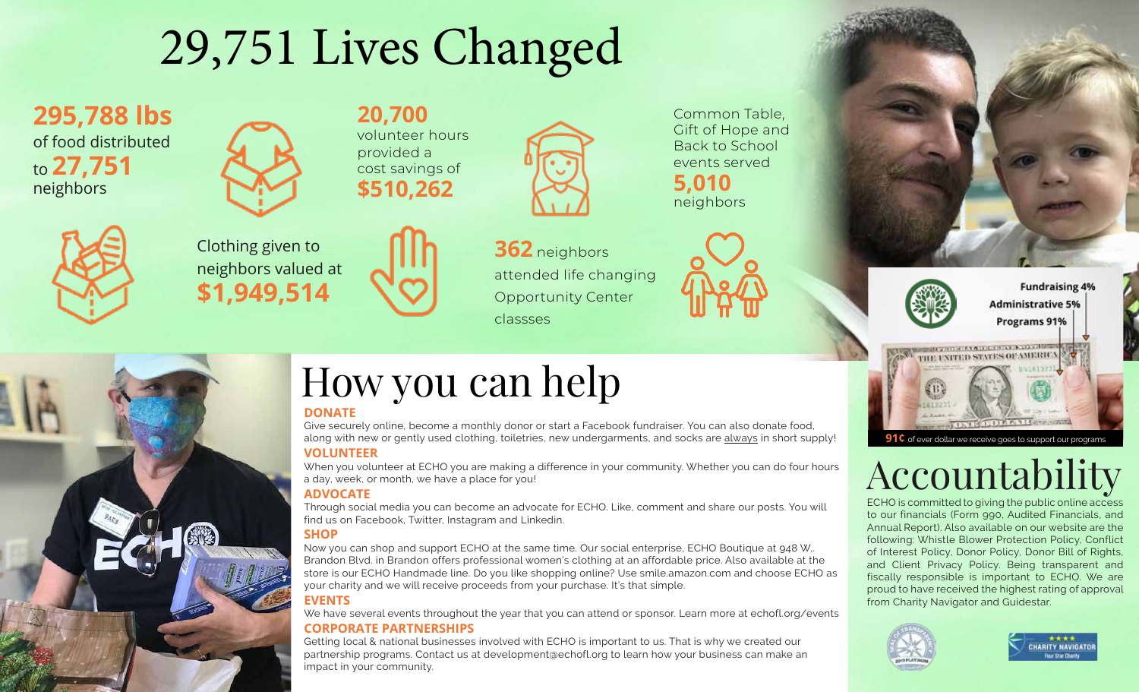# 29,751 Lives Changed

**20,700**

**295,788 lbs** of food distributed to **27,751** neighbors



volunteer hours provided a cost savings of **\$510,262**



Clothing given to neighbors valued at **\$1,949,514**





Common Table, Gift of Hope and Back to School events served **5,010**

neighbors



**Fundraising 4% Administrative 5%** Programs 91%



**91¢** of ever dollar we receive goes to support our programs

### Accountability

ECHO is committed to giving the public online access to our financials (Form 990, Audited Financials, and Annual Report). Also available on our website are the following: Whistle Blower Protection Policy, Conflict of Interest Policy, Donor Policy, Donor Bill of Rights, and Client Privacy Policy. Being transparent and fiscally responsible is important to ECHO. We are proud to have received the highest rating of approval from Charity Navigator and Guidestar.





## How you can help

#### **DONATE**

Give securely online, become a monthly donor or start a Facebook fundraiser. You can also donate food, along with new or gently used clothing, toiletries, new undergarments, and socks are always in short supply!

#### **VOLUNTEER**

When you volunteer at ECHO you are making a difference in your community. Whether you can do four hours a day, week, or month, we have a place for you!

#### **ADVOCATE**

Through social media you can become an advocate for ECHO. Like, comment and share our posts. You will find us on Facebook, Twitter, Instagram and Linkedin.

#### **SHOP**

Now you can shop and support ECHO at the same time. Our social enterprise, ECHO Boutique at 948 W,. Brandon Blvd. in Brandon offers professional women's clothing at an affordable price. Also available at the store is our ECHO Handmade line. Do you like shopping online? Use smile.amazon.com and choose ECHO as your charity and we will receive proceeds from your purchase. It's that simple.

#### **EVENTS**

We have several events throughout the year that you can attend or sponsor. Learn more at echofl.org/events

#### **CORPORATE PARTNERSHIPS**

Getting local & national businesses involved with ECHO is important to us. That is why we created our partnership programs. Contact us at development@echofl.org to learn how your business can make an impact in your community.